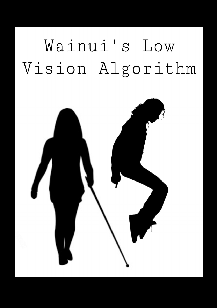## Wainui's Low Vision Algorithm

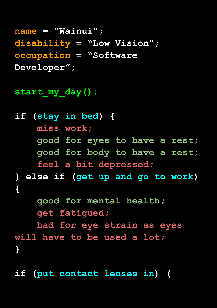**name = "Wainui"; disability = "Low Vision"; occupation = "Software Developer";**

start my day();

**if (stay in bed) { miss work; good for eyes to have a rest; good for body to have a rest; feel a bit depressed; } else if (get up and go to work)**

```
{
```
**good for mental health; get fatigued;**

**bad for eye strain as eyes will have to be used a lot; }**

**if (put contact lenses in) (**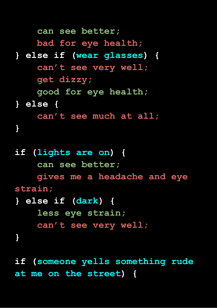**can see better; bad for eye health; } else if (wear glasses) { can't see very well; get dizzy; good for eye health; } else { can't see much at all; } if (lights are on) { can see better; gives me a headache and eye strain; } else if (dark) { less eye strain; can't see very well; }**

**if (someone yells something rude at me on the street) {**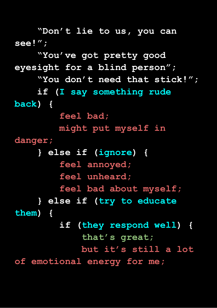**"Don't lie to us, you can see!"; "You've got pretty good eyesight for a blind person"; "You don't need that stick!"; if (I say something rude back) { feel bad; might put myself in danger; } else if (ignore) { feel annoyed; feel unheard; feel bad about myself; } else if (try to educate them) { if (they respond well) { that's great; but it's still a lot of emotional energy for me;**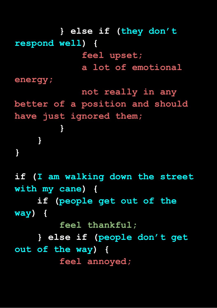**} else if (they don't respond well) { feel upset; a lot of emotional energy; not really in any better of a position and should have just ignored them; } } } if (I am walking down the street with my cane) { if (people get out of the way) { feel thankful;**

**} else if (people don't get out of the way) { feel annoyed;**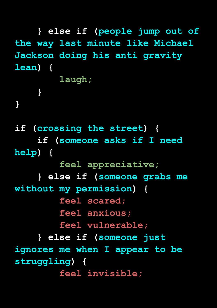**} else if (people jump out of the way last minute like Michael Jackson doing his anti gravity lean) { laugh; } } if (crossing the street) { if (someone asks if I need help) { feel appreciative; } else if (someone grabs me without my permission) { feel scared; feel anxious; feel vulnerable; } else if (someone just ignores me when I appear to be struggling) { feel invisible;**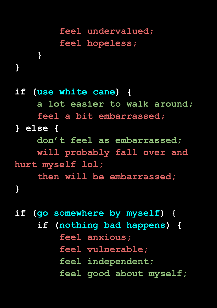## **feel undervalued; feel hopeless;**

**}**

**}**

**if (use white cane) { a lot easier to walk around; feel a bit embarrassed; } else { don't feel as embarrassed; will probably fall over and hurt myself lol; then will be embarrassed; }**

**if (go somewhere by myself) { if (nothing bad happens) { feel anxious; feel vulnerable; feel independent; feel good about myself;**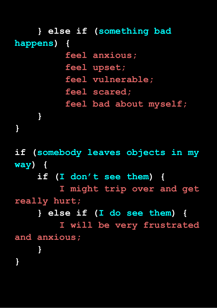**} else if (something bad happens) { feel anxious; feel upset; feel vulnerable; feel scared; feel bad about myself; } } if (somebody leaves objects in my way) { if (I don't see them) { I might trip over and get really hurt; } else if (I do see them) { I will be very frustrated and anxious; } }**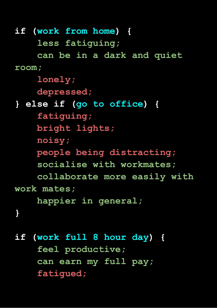**if (work from home) { less fatiguing; can be in a dark and quiet room; lonely; depressed; } else if (go to office) { fatiguing; bright lights; noisy; people being distracting; socialise with workmates; collaborate more easily with work mates; happier in general; } if (work full 8 hour day) { feel productive; can earn my full pay;**

**fatigued;**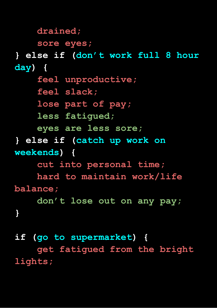## **drained;**

## **sore eyes;**

**} else if (don't work full 8 hour day) { feel unproductive; feel slack; lose part of pay; less fatigued; eyes are less sore; } else if (catch up work on weekends) { cut into personal time; hard to maintain work/life balance; don't lose out on any pay; }**

**if (go to supermarket) { get fatigued from the bright lights;**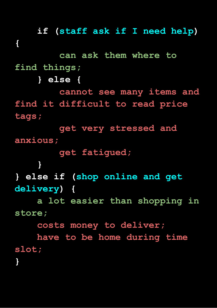**if (staff ask if I need help) { can ask them where to find things; } else { cannot see many items and find it difficult to read price tags; get very stressed and anxious; get fatigued; } } else if (shop online and get delivery) { a lot easier than shopping in store; costs money to deliver; have to be home during time slot; }**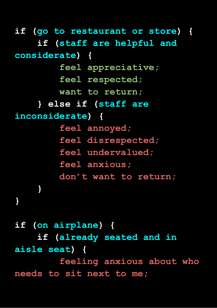**if (go to restaurant or store) { if (staff are helpful and considerate) { feel appreciative; feel respected; want to return; } else if (staff are inconsiderate) { feel annoyed; feel disrespected; feel undervalued; feel anxious; don't want to return; } }**

**if (on airplane) { if (already seated and in aisle seat) { feeling anxious about who needs to sit next to me;**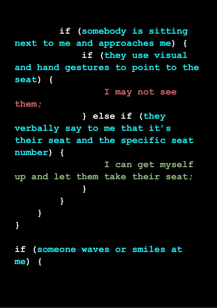**if (somebody is sitting next to me and approaches me) { if (they use visual and hand gestures to point to the seat) { I may not see them; } else if (they verbally say to me that it's their seat and the specific seat number) { I can get myself up and let them take their seat; } } } } if (someone waves or smiles at me) {**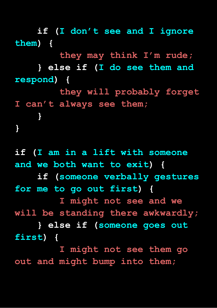**if (I don't see and I ignore them) { they may think I'm rude; } else if (I do see them and**

**respond) { they will probably forget I can't always see them; } }**

**if (I am in a lift with someone and we both want to exit) { if (someone verbally gestures for me to go out first) { I might not see and we will be standing there awkwardly; } else if (someone goes out first) {**

**I might not see them go out and might bump into them;**